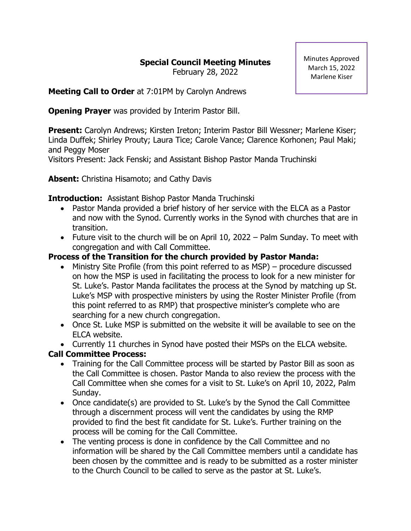# **Special Council Meeting Minutes**

February 28, 2022

Minutes Approved March 15, 2022 Marlene Kiser

**Meeting Call to Order** at 7:01PM by Carolyn Andrews

**Opening Prayer** was provided by Interim Pastor Bill.

**Present:** Carolyn Andrews; Kirsten Ireton; Interim Pastor Bill Wessner; Marlene Kiser; Linda Duffek; Shirley Prouty; Laura Tice; Carole Vance; Clarence Korhonen; Paul Maki; and Peggy Moser

Visitors Present: Jack Fenski; and Assistant Bishop Pastor Manda Truchinski

**Absent:** Christina Hisamoto; and Cathy Davis

### **Introduction:** Assistant Bishop Pastor Manda Truchinski

- Pastor Manda provided a brief history of her service with the ELCA as a Pastor and now with the Synod. Currently works in the Synod with churches that are in transition.
- Future visit to the church will be on April 10, 2022 Palm Sunday. To meet with congregation and with Call Committee.

# **Process of the Transition for the church provided by Pastor Manda:**

- Ministry Site Profile (from this point referred to as MSP) procedure discussed on how the MSP is used in facilitating the process to look for a new minister for St. Luke's. Pastor Manda facilitates the process at the Synod by matching up St. Luke's MSP with prospective ministers by using the Roster Minister Profile (from this point referred to as RMP) that prospective minister's complete who are searching for a new church congregation.
- Once St. Luke MSP is submitted on the website it will be available to see on the ELCA website.
- Currently 11 churches in Synod have posted their MSPs on the ELCA website.

# **Call Committee Process:**

- Training for the Call Committee process will be started by Pastor Bill as soon as the Call Committee is chosen. Pastor Manda to also review the process with the Call Committee when she comes for a visit to St. Luke's on April 10, 2022, Palm Sunday.
- Once candidate(s) are provided to St. Luke's by the Synod the Call Committee through a discernment process will vent the candidates by using the RMP provided to find the best fit candidate for St. Luke's. Further training on the process will be coming for the Call Committee.
- The venting process is done in confidence by the Call Committee and no information will be shared by the Call Committee members until a candidate has been chosen by the committee and is ready to be submitted as a roster minister to the Church Council to be called to serve as the pastor at St. Luke's.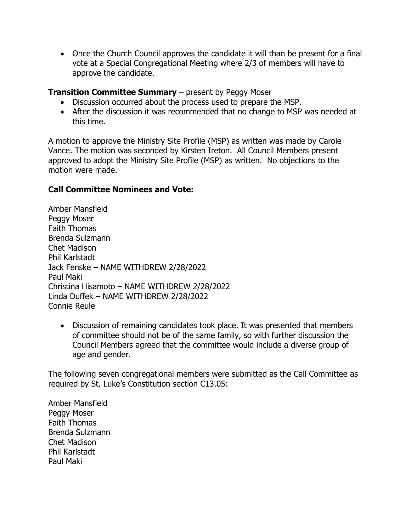• Once the Church Council approves the candidate it will than be present for a final vote at a Special Congregational Meeting where 2/3 of members will have to approve the candidate.

#### **Transition Committee Summary** – present by Peggy Moser

- Discussion occurred about the process used to prepare the MSP.
- After the discussion it was recommended that no change to MSP was needed at this time.

A motion to approve the Ministry Site Profile (MSP) as written was made by Carole Vance. The motion was seconded by Kirsten Ireton. All Council Members present approved to adopt the Ministry Site Profile (MSP) as written. No objections to the motion were made.

#### **Call Committee Nominees and Vote:**

Amber Mansfield Peggy Moser Faith Thomas Brenda Sulzmann Chet Madison Phil Karlstadt Jack Fenske – NAME WITHDREW 2/28/2022 Paul Maki Christina Hisamoto – NAME WITHDREW 2/28/2022 Linda Duffek – NAME WITHDREW 2/28/2022 Connie Reule

• Discussion of remaining candidates took place. It was presented that members of committee should not be of the same family, so with further discussion the Council Members agreed that the committee would include a diverse group of age and gender.

The following seven congregational members were submitted as the Call Committee as required by St. Luke's Constitution section C13.05:

Amber Mansfield Peggy Moser Faith Thomas Brenda Sulzmann Chet Madison Phil Karlstadt Paul Maki